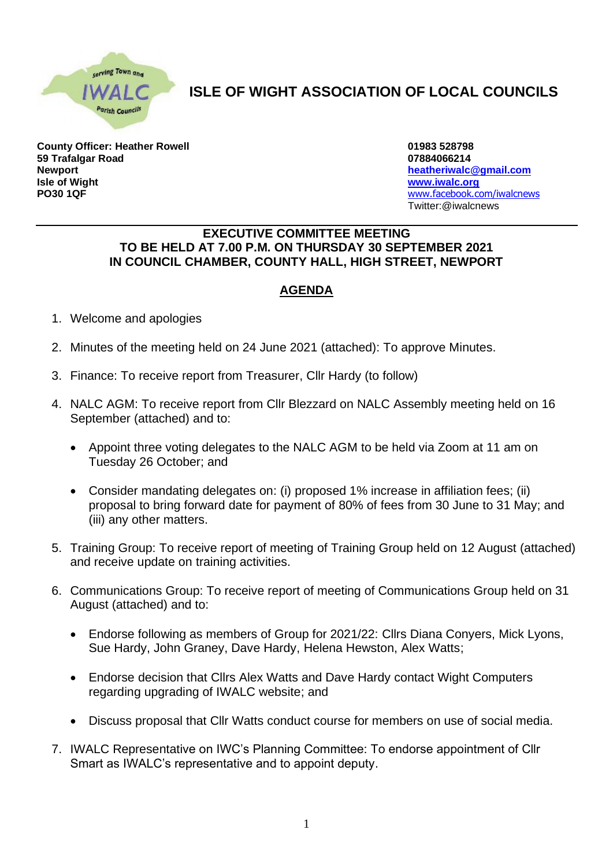

## **ISLE OF WIGHT ASSOCIATION OF LOCAL COUNCILS**

**County Officer: Heather Rowell 01983 528798 59 Trafalgar Road 07884066214 Newport [heatheriwalc@gmail.com](mailto:heatheriwalc@gmail.com) Isle of Wight [www.iwalc.org](http://www.iwalc.org/) PO30 1QF** [www.facebook.com/iwalcnews](http://www.facebook.com/iwalcnews)

Twitter:@iwalcnews

## **EXECUTIVE COMMITTEE MEETING TO BE HELD AT 7.00 P.M. ON THURSDAY 30 SEPTEMBER 2021 IN COUNCIL CHAMBER, COUNTY HALL, HIGH STREET, NEWPORT**

## **AGENDA**

- 1. Welcome and apologies
- 2. Minutes of the meeting held on 24 June 2021 (attached): To approve Minutes.
- 3. Finance: To receive report from Treasurer, Cllr Hardy (to follow)
- 4. NALC AGM: To receive report from Cllr Blezzard on NALC Assembly meeting held on 16 September (attached) and to:
	- Appoint three voting delegates to the NALC AGM to be held via Zoom at 11 am on Tuesday 26 October; and
	- Consider mandating delegates on: (i) proposed 1% increase in affiliation fees; (ii) proposal to bring forward date for payment of 80% of fees from 30 June to 31 May; and (iii) any other matters.
- 5. Training Group: To receive report of meeting of Training Group held on 12 August (attached) and receive update on training activities.
- 6. Communications Group: To receive report of meeting of Communications Group held on 31 August (attached) and to:
	- Endorse following as members of Group for 2021/22: Cllrs Diana Conyers, Mick Lyons, Sue Hardy, John Graney, Dave Hardy, Helena Hewston, Alex Watts;
	- Endorse decision that Cllrs Alex Watts and Dave Hardy contact Wight Computers regarding upgrading of IWALC website; and
	- Discuss proposal that Cllr Watts conduct course for members on use of social media.
- 7. IWALC Representative on IWC's Planning Committee: To endorse appointment of Cllr Smart as IWALC's representative and to appoint deputy.